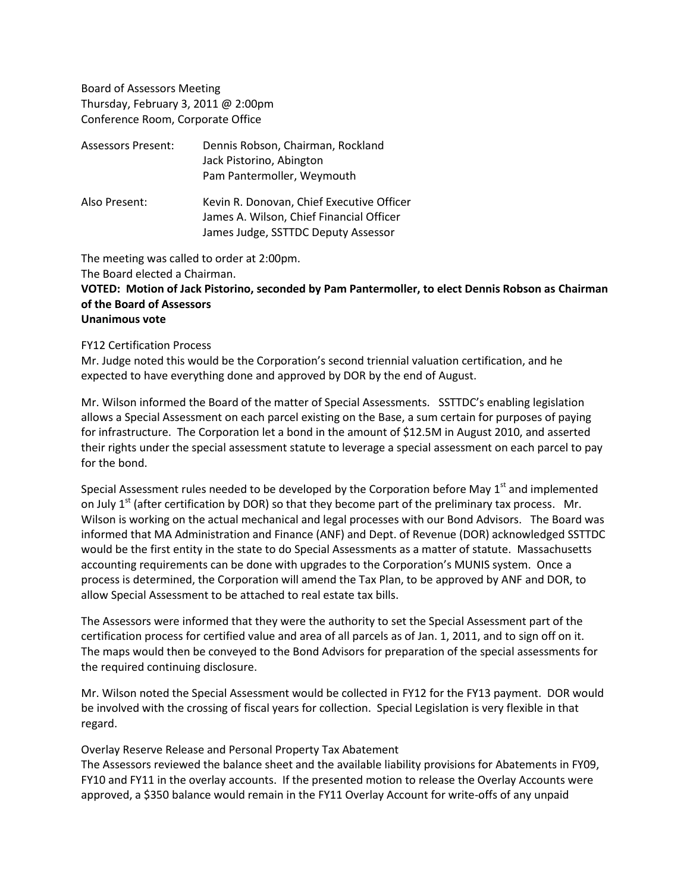Board of Assessors Meeting Thursday, February 3, 2011 @ 2:00pm Conference Room, Corporate Office

| <b>Assessors Present:</b> | Dennis Robson, Chairman, Rockland<br>Jack Pistorino, Abington<br>Pam Pantermoller, Weymouth                                  |
|---------------------------|------------------------------------------------------------------------------------------------------------------------------|
| Also Present:             | Kevin R. Donovan, Chief Executive Officer<br>James A. Wilson, Chief Financial Officer<br>James Judge, SSTTDC Deputy Assessor |

The meeting was called to order at 2:00pm.

The Board elected a Chairman.

# **VOTED: Motion of Jack Pistorino, seconded by Pam Pantermoller, to elect Dennis Robson as Chairman of the Board of Assessors**

# **Unanimous vote**

#### FY12 Certification Process

Mr. Judge noted this would be the Corporation's second triennial valuation certification, and he expected to have everything done and approved by DOR by the end of August.

Mr. Wilson informed the Board of the matter of Special Assessments. SSTTDC's enabling legislation allows a Special Assessment on each parcel existing on the Base, a sum certain for purposes of paying for infrastructure. The Corporation let a bond in the amount of \$12.5M in August 2010, and asserted their rights under the special assessment statute to leverage a special assessment on each parcel to pay for the bond.

Special Assessment rules needed to be developed by the Corporation before May  $1<sup>st</sup>$  and implemented on July  $1<sup>st</sup>$  (after certification by DOR) so that they become part of the preliminary tax process. Mr. Wilson is working on the actual mechanical and legal processes with our Bond Advisors. The Board was informed that MA Administration and Finance (ANF) and Dept. of Revenue (DOR) acknowledged SSTTDC would be the first entity in the state to do Special Assessments as a matter of statute. Massachusetts accounting requirements can be done with upgrades to the Corporation's MUNIS system. Once a process is determined, the Corporation will amend the Tax Plan, to be approved by ANF and DOR, to allow Special Assessment to be attached to real estate tax bills.

The Assessors were informed that they were the authority to set the Special Assessment part of the certification process for certified value and area of all parcels as of Jan. 1, 2011, and to sign off on it. The maps would then be conveyed to the Bond Advisors for preparation of the special assessments for the required continuing disclosure.

Mr. Wilson noted the Special Assessment would be collected in FY12 for the FY13 payment. DOR would be involved with the crossing of fiscal years for collection. Special Legislation is very flexible in that regard.

#### Overlay Reserve Release and Personal Property Tax Abatement

The Assessors reviewed the balance sheet and the available liability provisions for Abatements in FY09, FY10 and FY11 in the overlay accounts. If the presented motion to release the Overlay Accounts were approved, a \$350 balance would remain in the FY11 Overlay Account for write-offs of any unpaid